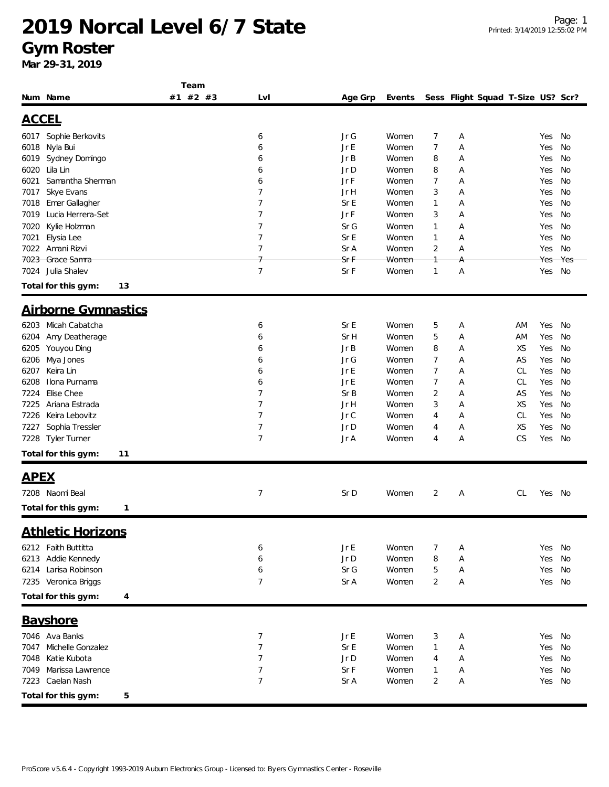#### **Gym Roster**

| #1 #2 #3<br>Lvl<br>Events                                      |                |   | Sess Flight Squad T-Size US? Scr? |        |     |
|----------------------------------------------------------------|----------------|---|-----------------------------------|--------|-----|
| Num Name<br>Age Grp                                            |                |   |                                   |        |     |
|                                                                |                |   |                                   |        |     |
| <b>ACCEL</b>                                                   |                |   |                                   |        |     |
| Sophie Berkovits<br>Jr G<br>Women<br>6017<br>6                 | 7              | А |                                   | Yes    | No  |
| 6018<br>Nyla Bui<br>Jr E<br>Women<br>6                         | $\overline{7}$ | Α |                                   | Yes    | No  |
| Jr B<br>6019<br>Sydney Domingo<br>Women<br>6                   | 8              | Α |                                   | Yes    | No  |
| Lila Lin<br>6020<br>Jr D<br>Women<br>6                         | 8              | А |                                   | Yes    | No  |
| Samantha Sherman<br>Jr F<br>6021<br>6<br>Women                 | 7              | Α |                                   | Yes    | No  |
| 7<br>Skye Evans<br>Jr H<br>Women<br>7017                       | 3              | Α |                                   | Yes    | No  |
| 7<br>Sr E<br>Emer Gallagher<br>7018<br>Women                   | $\mathbf{1}$   | Α |                                   | Yes    | No  |
| Lucia Herrera-Set<br>7<br>Jr F<br>7019<br>Women                | 3              | Α |                                   | Yes    | No  |
| Kylie Holzman<br>7<br>Sr G<br>7020<br>Women                    | $\mathbf{1}$   | Α |                                   | Yes    | No  |
| $\overline{7}$<br>Elysia Lee<br>Sr E<br>7021<br>Women          | $\mathbf{1}$   | Α |                                   | Yes    | No  |
| $\overline{7}$<br>7022<br>Amani Rizvi<br>Sr A<br>Women         | $\overline{2}$ | Α |                                   | Yes    | No  |
| 7023 Grace Samra<br><del>Sr F</del><br><b>Women</b>            |                |   |                                   | Yes    | Yes |
| $\overline{7}$<br>7024 Julia Shalev<br>Sr F<br>Women           | $\mathbf{1}$   | А |                                   | Yes    | No  |
| Total for this gym:<br>13                                      |                |   |                                   |        |     |
| <b>Airborne Gymnastics</b>                                     |                |   |                                   |        |     |
|                                                                |                |   |                                   |        |     |
| Micah Cabatcha<br>Sr E<br>6203<br>Women<br>6                   | 5              | Α | ΑM                                | Yes    | No  |
| Sr H<br>Amy Deatherage<br>6<br>Women<br>6204                   | 5              | А | AM                                | Yes    | No  |
| Youyou Ding<br>Jr B<br>6205<br>Women<br>6                      | 8              | Α | XS                                | Yes    | No  |
| Mya Jones<br>Jr G<br>6206<br>Women<br>6                        | 7              | Α | AS                                | Yes    | No  |
| Keira Lin<br>Jr E<br>Women<br>6207<br>6                        | 7              | Α | CL                                | Yes    | No  |
| Jr E<br>Ilona Purnama<br>6208<br>Women<br>6                    | 7              | Α | CL                                | Yes    | No  |
| Elise Chee<br>7<br>Sr B<br>7224<br>Women                       | 2              | Α | AS                                | Yes    | No  |
| 7<br>Ariana Estrada<br>7225<br>Jr H<br>Women                   | 3              | Α | XS                                | Yes    | No  |
| 7<br>Keira Lebovitz<br>Jr C<br>7226<br>Women                   | 4              | А | CL                                | Yes    | No  |
| 7<br>Sophia Tressler<br>Jr D<br>7227<br>Women                  | 4              | Α | XS                                | Yes    | No  |
| $\overline{7}$<br><b>Tyler Turner</b><br>Jr A<br>7228<br>Women | 4              | Α | CS                                | Yes    | No  |
| Total for this gym:<br>11                                      |                |   |                                   |        |     |
| <u>APEX</u>                                                    |                |   |                                   |        |     |
| 7<br>7208 Naomi Beal<br>Sr D<br>Women                          | 2              | Α | CL                                | Yes    | No  |
|                                                                |                |   |                                   |        |     |
| Total for this gym:<br>1                                       |                |   |                                   |        |     |
| <b>Athletic Horizons</b>                                       |                |   |                                   |        |     |
| 6212 Faith Buttitta<br>Jr E<br>Women<br>6                      | 7              | Α |                                   | Yes    | No  |
| Addie Kennedy<br>6<br>Jr D<br>Women<br>6213                    | 8              | Α |                                   | Yes    | No  |
| 6214 Larisa Robinson<br>Sr G<br>6<br>Women                     | 5              | А |                                   | Yes    | No  |
| 7<br>7235 Veronica Briggs<br>Sr A<br>Women                     | 2              | А |                                   | Yes No |     |
|                                                                |                |   |                                   |        |     |
| Total for this gym:<br>4                                       |                |   |                                   |        |     |
| <b>Bayshore</b>                                                |                |   |                                   |        |     |
| 7046 Ava Banks<br>7<br>Jr E<br>Women                           | 3              | Α |                                   | Yes    | No  |
| 7<br>Sr E<br>7047 Michelle Gonzalez<br>Women                   | 1              | Α |                                   | Yes    | No  |
| 7<br>7048<br>Katie Kubota<br>Jr D<br>Women                     | 4              | Α |                                   | Yes    | No  |
| Marissa Lawrence<br>7<br>Sr F<br>Women<br>7049                 | 1              | Α |                                   | Yes    | No  |
| 7<br>Caelan Nash<br>Sr A<br>Women<br>7223                      | $\overline{2}$ | А |                                   | Yes    | No  |
| Total for this gym:<br>5                                       |                |   |                                   |        |     |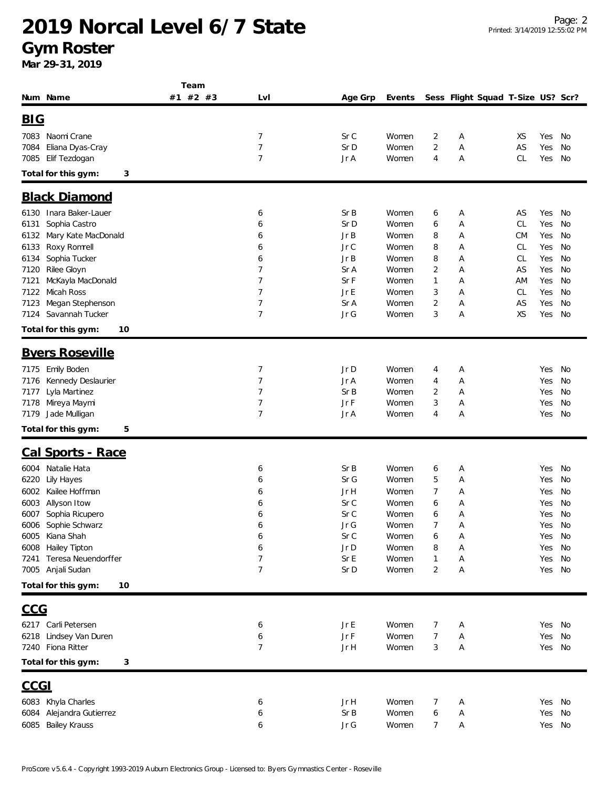|                                                | Team     |                |              |                |        |        |                                   |           |               |          |
|------------------------------------------------|----------|----------------|--------------|----------------|--------|--------|-----------------------------------|-----------|---------------|----------|
| Num Name                                       | #1 #2 #3 | LvI            | Age Grp      | Events         |        |        | Sess Flight Squad T-Size US? Scr? |           |               |          |
| BIG                                            |          |                |              |                |        |        |                                   |           |               |          |
|                                                |          |                |              |                |        |        |                                   |           |               |          |
| 7083 Naomi Crane                               |          | 7              | Sr C         | Women          | 2      | Α      |                                   | XS        | Yes           | No       |
| Eliana Dyas-Cray<br>7084                       |          | $\overline{7}$ | Sr D         | Women          | 2      | Α      |                                   | AS        | Yes           | No       |
| Elif Tezdogan<br>7085                          |          | $\overline{7}$ | Jr A         | Women          | 4      | Α      |                                   | CL        | Yes           | No       |
| Total for this gym:<br>3                       |          |                |              |                |        |        |                                   |           |               |          |
| <b>Black Diamond</b>                           |          |                |              |                |        |        |                                   |           |               |          |
| Inara Baker-Lauer<br>6130                      |          | 6              | Sr B         | Women          | 6      | A      |                                   | AS        | Yes           | No       |
| Sophia Castro<br>6131                          |          | 6              | Sr D         | Women          | 6      | Α      |                                   | <b>CL</b> | Yes           | No       |
| Mary Kate MacDonald<br>6132                    |          | 6              | Jr B         | Women          | 8      | Α      |                                   | <b>CM</b> | Yes           | No       |
| Roxy Romrell<br>6133                           |          | 6              | Jr C         | Women          | 8      | Α      |                                   | CL        | Yes           | No       |
| Sophia Tucker<br>6134                          |          | 6              | Jr B         | Women          | 8      | Α      |                                   | CL        | Yes           | No       |
| Rilee Gloyn<br>7120                            |          | 7              | Sr A         | Women          | 2      | Α      |                                   | AS        | Yes           | No       |
| McKayla MacDonald<br>7121                      |          | 7              | Sr F         | Women          | 1      | Α      |                                   | AM        | Yes           | No       |
| 7122<br>Micah Ross                             |          | 7              | Jr E         | Women          | 3      | Α      |                                   | CL        | Yes           | No       |
| Megan Stephenson<br>7123                       |          | 7              | Sr A         | Women          | 2      | A      |                                   | AS        | Yes           | No       |
| Savannah Tucker<br>7124                        |          | $\overline{7}$ | Jr G         | Women          | 3      | Α      |                                   | XS        | Yes           | No       |
| Total for this gym:<br>10                      |          |                |              |                |        |        |                                   |           |               |          |
| <b>Byers Roseville</b>                         |          |                |              |                |        |        |                                   |           |               |          |
|                                                |          | 7              | Jr D         | Women          |        |        |                                   |           |               |          |
| 7175 Emily Boden<br>Kennedy Deslaurier<br>7176 |          | 7              | Jr A         | Women          | 4<br>4 | Α<br>Α |                                   |           | Yes<br>Yes    | No<br>No |
| Lyla Martinez<br>7177                          |          | $\overline{7}$ | Sr B         | Women          | 2      | A      |                                   |           | Yes           | No       |
| Mireya Maymi<br>7178                           |          | 7              | Jr F         | Women          | 3      | Α      |                                   |           | Yes           | No       |
| Jade Mulligan<br>7179                          |          | 7              | Jr A         | Women          | 4      | Α      |                                   |           | Yes           | No       |
| Total for this gym:<br>5                       |          |                |              |                |        |        |                                   |           |               |          |
|                                                |          |                |              |                |        |        |                                   |           |               |          |
| <b>Cal Sports - Race</b>                       |          |                |              |                |        |        |                                   |           |               |          |
| Natalie Hata<br>6004                           |          | 6              | Sr B         | Women          | 6      | A      |                                   |           | Yes           | No       |
| 6220<br>Lily Hayes                             |          | 6              | Sr G         | Women          | 5      | Α      |                                   |           | Yes           | No       |
| 6002<br>Kailee Hoffman                         |          | 6              | Jr H         | Women          | 7      | Α      |                                   |           | Yes           | No       |
| Allyson Itow<br>6003                           |          | 6              | Sr C         | Women          | 6      | Α      |                                   |           | Yes           | No       |
| 6007 Sophia Ricupero                           |          | 6              | Sr C<br>Jr G | Women          | 6<br>7 | Α      |                                   |           | Yes           | No       |
| 6006 Sophie Schwarz<br>6005 Kiana Shah         |          | 6<br>6         | Sr C         | Women<br>Women | 6      | Α<br>Α |                                   |           | Yes No<br>Yes | No.      |
| <b>Hailey Tipton</b><br>6008                   |          | 6              | Jr D         | Women          | 8      | Α      |                                   |           | Yes           | No       |
| Teresa Neuendorffer<br>7241                    |          | 7              | Sr E         | Women          | 1      | Α      |                                   |           | Yes           | No       |
| 7005 Anjali Sudan                              |          | $\overline{7}$ | Sr D         | Women          | 2      | Α      |                                   |           | Yes No        |          |
| Total for this gym:<br>10                      |          |                |              |                |        |        |                                   |           |               |          |
|                                                |          |                |              |                |        |        |                                   |           |               |          |
| <u>CCG</u>                                     |          |                |              |                |        |        |                                   |           |               |          |
| 6217 Carli Petersen                            |          | 6              | Jr E         | Women          | 7      | A      |                                   |           | Yes No        |          |
| 6218 Lindsey Van Duren                         |          | 6              | Jr F         | Women          | 7      | Α      |                                   |           | Yes           | No       |
| 7240 Fiona Ritter                              |          | 7              | Jr H         | Women          | 3      | Α      |                                   |           | Yes No        |          |
| Total for this gym:<br>3                       |          |                |              |                |        |        |                                   |           |               |          |
| <u>CCGI</u>                                    |          |                |              |                |        |        |                                   |           |               |          |
| 6083 Khyla Charles                             |          | 6              | Jr H         | Women          | 7      | A      |                                   |           | Yes No        |          |
| Alejandra Gutierrez<br>6084                    |          | 6              | Sr B         | Women          | 6      | Α      |                                   |           | Yes           | No       |
| 6085 Bailey Krauss                             |          | 6              | Jr G         | Women          | 7      | Α      |                                   |           | Yes No        |          |
|                                                |          |                |              |                |        |        |                                   |           |               |          |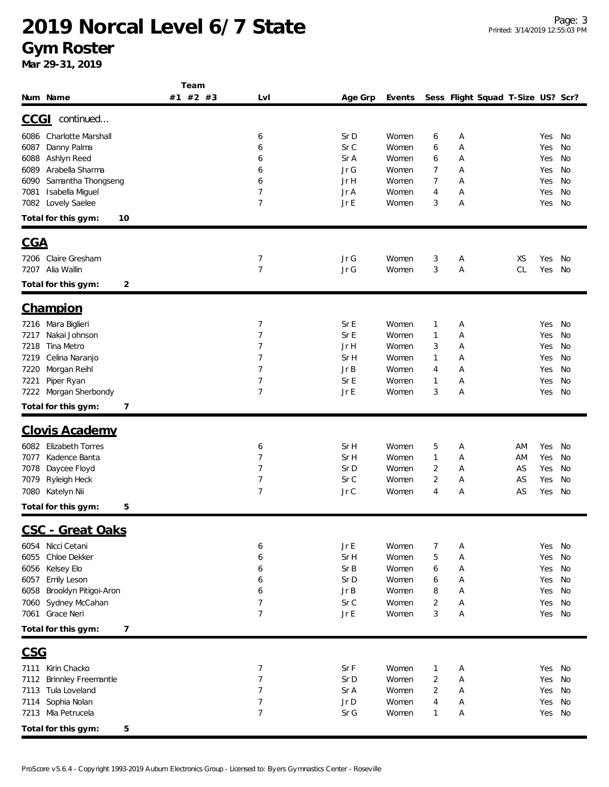**Gym Roster**

|                               | Team     |                |              |                |                |   |                                   |    |     |    |
|-------------------------------|----------|----------------|--------------|----------------|----------------|---|-----------------------------------|----|-----|----|
| Num Name                      | #1 #2 #3 | Lvl            | Age Grp      | Events         |                |   | Sess Flight Squad T-Size US? Scr? |    |     |    |
| continued<br><u>CCGI</u>      |          |                |              |                |                |   |                                   |    |     |    |
|                               |          |                |              |                |                |   |                                   |    |     |    |
| Charlotte Marshall<br>6086    |          | 6              | Sr D         | Women          | 6              | Α |                                   |    | Yes | No |
| Danny Palma<br>6087           |          | 6              | Sr C         | Women          | 6              | Α |                                   |    | Yes | No |
| Ashlyn Reed<br>6088           |          | 6              | Sr A         | Women          | 6              | Α |                                   |    | Yes | No |
| Arabella Sharma<br>6089       |          | 6              | Jr G         | Women          | 7              | Α |                                   |    | Yes | No |
| Samantha Thongseng<br>6090    |          | 6              | Jr H         | Women          | 7              | Α |                                   |    | Yes | No |
| Isabella Miguel<br>7081       |          | $\overline{7}$ | Jr A         | Women          | 4              | Α |                                   |    | Yes | No |
| Lovely Saelee<br>7082         |          | $\overline{7}$ | Jr E         | Women          | 3              | Α |                                   |    | Yes | No |
| Total for this gym:<br>10     |          |                |              |                |                |   |                                   |    |     |    |
| <u>CGA</u>                    |          |                |              |                |                |   |                                   |    |     |    |
|                               |          |                |              |                |                |   |                                   |    |     |    |
| 7206 Claire Gresham           |          | 7              | Jr G         | Women          | 3              | Α |                                   | XS | Yes | No |
| 7207 Alia Wallin              |          | $\overline{7}$ | Jr G         | Women          | 3              | Α |                                   | CL | Yes | No |
| 2<br>Total for this gym:      |          |                |              |                |                |   |                                   |    |     |    |
| <b>Champion</b>               |          |                |              |                |                |   |                                   |    |     |    |
|                               |          |                |              |                |                |   |                                   |    |     |    |
| Mara Biglieri<br>7216         |          | 7              | Sr E         | Women          | 1              | А |                                   |    | Yes | No |
| Nakai Johnson<br>7217         |          | 7              | Sr E         | Women          | $\mathbf{1}$   | Α |                                   |    | Yes | No |
| Tina Metro<br>7218            |          | 7              | Jr H         | Women          | 3              | Α |                                   |    | Yes | No |
| Celina Naranjo<br>7219        |          | 7              | Sr H         | Women          | $\mathbf{1}$   | Α |                                   |    | Yes | No |
| Morgan Reihl<br>7220          |          | 7              | Jr B         | Women          | 4              | Α |                                   |    | Yes | No |
| Piper Ryan<br>7221            |          | 7              | Sr E         | Women          | $\mathbf{1}$   | Α |                                   |    | Yes | No |
| Morgan Sherbondy<br>7222      |          | 7              | Jr E         | Women          | 3              | Α |                                   |    | Yes | No |
| Total for this gym:<br>7      |          |                |              |                |                |   |                                   |    |     |    |
| <b>Clovis Academy</b>         |          |                |              |                |                |   |                                   |    |     |    |
| <b>Elizabeth Torres</b>       |          |                |              |                |                |   |                                   |    |     |    |
| 6082                          |          | 6<br>7         | Sr H         | Women          | 5              | Α |                                   | ΑM | Yes | No |
| Kadence Banta<br>7077         |          | 7              | Sr H         | Women<br>Women | $\mathbf{1}$   | Α |                                   | AM | Yes | No |
| Daycee Floyd<br>7078          |          | $\overline{7}$ | Sr D<br>Sr C |                | 2<br>2         | Α |                                   | AS | Yes | No |
| 7079<br>Ryleigh Heck          |          |                |              | Women          |                | Α |                                   | AS | Yes | No |
| Katelyn Nii<br>7080           |          | $\overline{7}$ | Jr C         | Women          | 4              | Α |                                   | AS | Yes | No |
| Total for this gym:<br>5      |          |                |              |                |                |   |                                   |    |     |    |
| <u> CSC - Great Oaks</u>      |          |                |              |                |                |   |                                   |    |     |    |
| Nicci Cetani<br>6054          |          | 6              | Jr E         | Women          | 7              | Α |                                   |    | Yes | No |
| Chloe Dekker<br>6055          |          | 6              | Sr H         | Women          | 5              | Α |                                   |    | Yes | No |
| Kelsey Elo<br>6056            |          | 6              | Sr B         | Women          | 6              | Α |                                   |    | Yes | No |
| Emily Leson<br>6057           |          | 6              | Sr D         | Women          | 6              | Α |                                   |    | Yes | No |
| Brooklyn Pitigoi-Aron<br>6058 |          | 6              | JrB          | Women          | 8              | Α |                                   |    | Yes | No |
| Sydney McCahan<br>7060        |          | $\overline{7}$ | Sr C         | Women          | 2              | Α |                                   |    | Yes | No |
| Grace Neri<br>7061            |          | $\overline{7}$ | JrE          | Women          | 3              | Α |                                   |    | Yes | No |
| Total for this gym:<br>7      |          |                |              |                |                |   |                                   |    |     |    |
|                               |          |                |              |                |                |   |                                   |    |     |    |
| <b>CSG</b>                    |          |                |              |                |                |   |                                   |    |     |    |
| 7111 Kirin Chacko             |          | 7              | Sr F         | Women          | $\mathbf{1}$   | Α |                                   |    | Yes | No |
| 7112<br>Brinnley Freemantle   |          | 7              | Sr D         | Women          | $\overline{2}$ | Α |                                   |    | Yes | No |
| Tula Loveland<br>7113         |          | 7              | Sr A         | Women          | 2              | Α |                                   |    | Yes | No |
| Sophia Nolan<br>7114          |          | 7              | Jr D         | Women          | 4              | Α |                                   |    | Yes | No |
| 7213 Mia Petrucela            |          | 7              | Sr G         | Women          | 1              | Α |                                   |    | Yes | No |
| Total for this gym:<br>5      |          |                |              |                |                |   |                                   |    |     |    |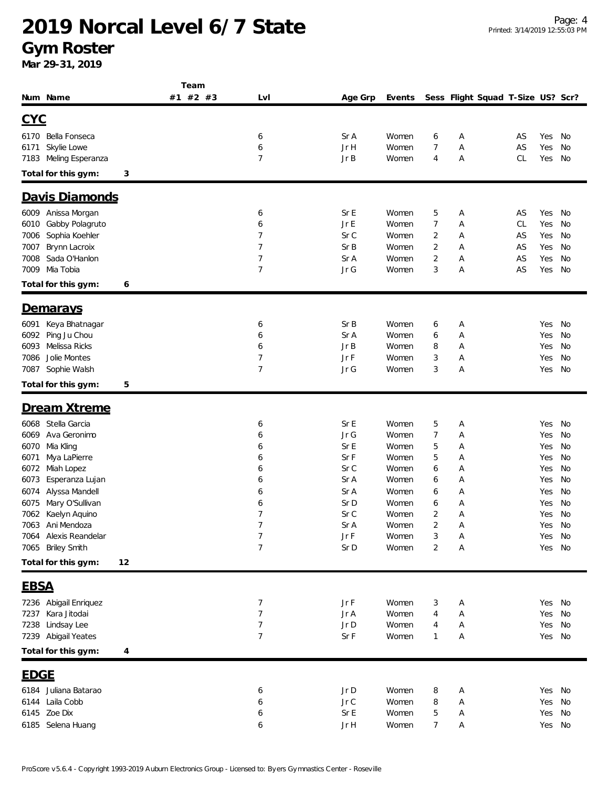#### **Gym Roster**

|                                           | Team     |                |              |                |                |                                   |    |            |          |
|-------------------------------------------|----------|----------------|--------------|----------------|----------------|-----------------------------------|----|------------|----------|
| Num Name                                  | #1 #2 #3 | Lvl            | Age Grp      | Events         |                | Sess Flight Squad T-Size US? Scr? |    |            |          |
| <u>CYC</u>                                |          |                |              |                |                |                                   |    |            |          |
|                                           |          |                |              |                |                |                                   |    |            |          |
| 6170 Bella Fonseca                        |          | 6              | Sr A         | Women          | 6              | Α                                 | AS | Yes        | No       |
| Skylie Lowe<br>6171                       |          | 6              | Jr H         | Women          | 7              | Α                                 | AS | Yes        | No       |
| Meling Esperanza<br>7183                  |          | $\overline{7}$ | JrB          | Women          | 4              | Α                                 | CL | Yes        | No       |
| Total for this gym:                       | 3        |                |              |                |                |                                   |    |            |          |
| Davis Diamonds                            |          |                |              |                |                |                                   |    |            |          |
| Anissa Morgan<br>6009                     |          | 6              | Sr E         | Women          | 5              | Α                                 | AS | Yes        | No       |
| Gabby Polagruto<br>6010                   |          | 6              | $Jr \, E$    | Women          | 7              | Α                                 | CL | Yes        | No       |
| Sophia Koehler<br>7006                    |          | 7              | Sr C         | Women          | 2              | Α                                 | AS | Yes        | No       |
| Brynn Lacroix<br>7007                     |          | $\overline{7}$ | Sr B         | Women          | 2              | Α                                 | AS | Yes        | No       |
| Sada O'Hanlon<br>7008                     |          | $\overline{7}$ | Sr A         | Women          | $\overline{2}$ | Α                                 | AS | Yes        | No       |
| Mia Tobia<br>7009                         |          | $\overline{7}$ | Jr G         | Women          | 3              | Α                                 | AS | Yes        | No       |
| Total for this gym:                       | 6        |                |              |                |                |                                   |    |            |          |
|                                           |          |                |              |                |                |                                   |    |            |          |
| <u>Demarays</u>                           |          |                |              |                |                |                                   |    |            |          |
| Keya Bhatnagar<br>6091                    |          | 6              | Sr B         | Women          | 6              | Α                                 |    | Yes        | No       |
| Ping Ju Chou<br>6092                      |          | 6              | Sr A         | Women          | 6              | Α                                 |    | Yes        | No       |
| Melissa Ricks<br>6093                     |          | 6              | Jr B         | Women          | 8              | Α                                 |    | Yes        | No       |
| Jolie Montes<br>7086                      |          | $\overline{7}$ | Jr F         | Women          | 3              | Α                                 |    | Yes        | No       |
| Sophie Walsh<br>7087                      |          | $\overline{7}$ | Jr G         | Women          | 3              | Α                                 |    | Yes        | No       |
| Total for this gym:                       | 5        |                |              |                |                |                                   |    |            |          |
| Dream Xtreme                              |          |                |              |                |                |                                   |    |            |          |
|                                           |          |                |              |                |                |                                   |    |            |          |
| Stella Garcia<br>6068                     |          | 6              | Sr E         | Women          | 5              | Α                                 |    | Yes        | No       |
| Ava Geronimo<br>6069                      |          | 6              | Jr G<br>Sr E | Women          | 7              | Α                                 |    | Yes        | No       |
| Mia Kling<br>6070<br>Mya LaPierre<br>6071 |          | 6<br>6         | Sr F         | Women<br>Women | 5<br>5         | A<br>Α                            |    | Yes<br>Yes | No<br>No |
| Miah Lopez<br>6072                        |          | 6              | Sr C         | Women          | 6              | Α                                 |    | Yes        | No       |
| 6073<br>Esperanza Lujan                   |          | 6              | Sr A         | Women          | 6              | Α                                 |    | Yes        | No       |
| Alyssa Mandell<br>6074                    |          | 6              | Sr A         | Women          | 6              | Α                                 |    | Yes        | No       |
| Mary O'Sullivan<br>6075                   |          | 6              | Sr D         | Women          | 6              | Α                                 |    | Yes        | No       |
| 7062 Kaelyn Aquino                        |          | $\overline{7}$ | Sr C         | Women          | 2              | Α                                 |    | Yes        | No       |
| 7063 Ani Mendoza                          |          | 7              | Sr A         | Women          | 2              | Α                                 |    | Yes No     |          |
| 7064 Alexis Reandelar                     |          | 7              | Jr F         | Women          | 3              | Α                                 |    | Yes No     |          |
| 7065 Briley Smith                         |          | $\overline{7}$ | Sr D         | Women          | 2              | Α                                 |    | Yes No     |          |
| Total for this gym:                       | 12       |                |              |                |                |                                   |    |            |          |
|                                           |          |                |              |                |                |                                   |    |            |          |
| <b>EBSA</b>                               |          |                |              |                |                |                                   |    |            |          |
| 7236 Abigail Enriquez                     |          | 7              | Jr F         | Women          | 3              | A                                 |    | Yes No     |          |
| 7237 Kara Jitodai                         |          | 7              | Jr A         | Women          | 4              | Α                                 |    | Yes No     |          |
| 7238 Lindsay Lee                          |          | 7              | Jr D         | Women          | 4              | Α                                 |    | Yes No     |          |
| 7239 Abigail Yeates                       |          | 7              | Sr F         | Women          | 1              | Α                                 |    | Yes No     |          |
| Total for this gym:                       | 4        |                |              |                |                |                                   |    |            |          |
| <u>EDGE</u>                               |          |                |              |                |                |                                   |    |            |          |
| 6184 Juliana Batarao                      |          | 6              | Jr D         | Women          | 8              | A                                 |    | Yes No     |          |
| Laila Cobb<br>6144                        |          | 6              | Jr C         | Women          | 8              | Α                                 |    | Yes No     |          |
| 6145 Zoe Dix                              |          | 6              | Sr E         | Women          | 5              | Α                                 |    | Yes No     |          |
| 6185 Selena Huang                         |          | 6              | Jr H         | Women          | 7              | Α                                 |    | Yes No     |          |
|                                           |          |                |              |                |                |                                   |    |            |          |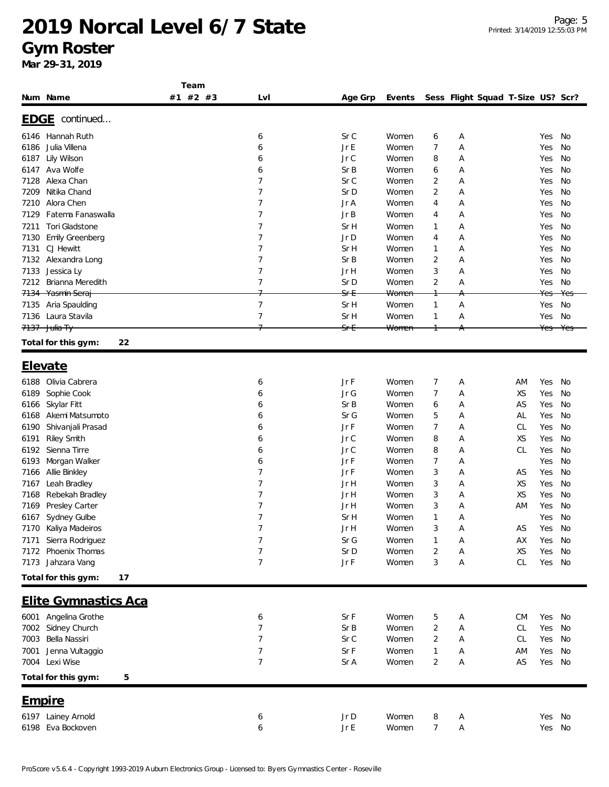#### **Gym Roster**

|                 |                                         | Team     |                |                 |                |                |        |                                   |           |            |          |
|-----------------|-----------------------------------------|----------|----------------|-----------------|----------------|----------------|--------|-----------------------------------|-----------|------------|----------|
|                 | Num Name                                | #1 #2 #3 | Lvl            | Age Grp         | Events         |                |        | Sess Flight Squad T-Size US? Scr? |           |            |          |
|                 |                                         |          |                |                 |                |                |        |                                   |           |            |          |
|                 | EDGE continued                          |          |                |                 |                |                |        |                                   |           |            |          |
| 6146            | Hannah Ruth                             |          | 6              | Sr C            | Women          | 6              | Α      |                                   |           | Yes        | No       |
| 6186            | Julia Villena                           |          | 6              | Jr E            | Women          | 7              | А      |                                   |           | Yes        | No       |
| 6187            | Lily Wilson                             |          | 6              | Jr C            | Women          | 8              | А      |                                   |           | Yes        | No       |
| 6147            | Ava Wolfe                               |          | 6              | SrB             | Women          | 6              | А      |                                   |           | Yes        | No       |
| 7128            | Alexa Chan                              |          | 7              | Sr C            | Women          | $\overline{2}$ | А      |                                   |           | Yes        | No       |
| 7209            | Nitika Chand<br>Alora Chen              |          | 7<br>7         | Sr D            | Women          | $\overline{2}$ | Α      |                                   |           | Yes        | No       |
| 7210<br>7129    | Fatema Fanaswalla                       |          | 7              | Jr A<br>Jr B    | Women<br>Women | 4              | А<br>А |                                   |           | Yes<br>Yes | No<br>No |
| 7211            | <b>Tori Gladstone</b>                   |          | 7              | Sr H            | Women          | 4              | А      |                                   |           | Yes        | No       |
| 7130            | <b>Emily Greenberg</b>                  |          | 7              | Jr D            | Women          | 1<br>4         | А      |                                   |           | Yes        | No       |
| 7131            | CJ Hewitt                               |          | 7              | Sr H            | Women          | 1              | Α      |                                   |           | Yes        | No       |
| 7132            | Alexandra Long                          |          | 7              | SrB             | Women          | 2              | А      |                                   |           | Yes        | No       |
| 7133            | Jessica Ly                              |          | 7              | Jr H            | Women          | 3              | А      |                                   |           | Yes        | No       |
| 7212            | Brianna Meredith                        |          | $\overline{7}$ | Sr D            | Women          | $\overline{2}$ | А      |                                   |           | Yes        | No       |
| <del>7134</del> | Yasmin Seraj                            |          |                | <del>Sr E</del> | Women          |                |        |                                   |           | Yes        | Yes      |
| 7135            | Aria Spaulding                          |          | $\overline{7}$ | Sr H            | Women          | 1              | Α      |                                   |           | Yes        | No       |
| 7136            | Laura Stavila                           |          | 7              | Sr H            | Women          | $\mathbf{1}$   | А      |                                   |           | Yes        | No       |
|                 | 7137 Julia Ty                           |          |                | <del>Sr E</del> | Women          |                |        |                                   |           | Yes        |          |
|                 | 22<br>Total for this gym:               |          |                |                 |                |                |        |                                   |           |            |          |
|                 |                                         |          |                |                 |                |                |        |                                   |           |            |          |
|                 | <u>Elevate</u>                          |          |                |                 |                |                |        |                                   |           |            |          |
| 6188            | Olivia Cabrera                          |          | 6              | Jr F            | Women          | 7              | А      |                                   | AM        | Yes        | No       |
| 6189            | Sophie Cook                             |          | 6              | Jr G            | Women          | 7              | А      |                                   | XS        | Yes        | No       |
| 6166            | Skylar Fitt                             |          | 6              | SrB             | Women          | 6              | Α      |                                   | AS        | Yes        | No       |
| 6168            | Akemi Matsumoto                         |          | 6              | Sr G            | Women          | 5              | Α      |                                   | AL        | Yes        | No       |
| 6190            | Shivanjali Prasad                       |          | 6              | Jr F            | Women          | 7              | А      |                                   | <b>CL</b> | Yes        | No       |
| 6191            | Riley Smith                             |          | 6              | Jr C            | Women          | 8              | А      |                                   | <b>XS</b> | Yes        | No       |
| 6192            | Sienna Tirre                            |          | 6              | Jr C            | Women          | 8              | А      |                                   | CL        | Yes        | No       |
| 6193            | Morgan Walker                           |          | 6              | Jr F            | Women          | 7              | Α      |                                   |           | Yes        | No       |
| 7166            | Allie Binkley                           |          | 7              | Jr F            | Women          | 3              | Α      |                                   | AS        | Yes        | No       |
| 7167            | Leah Bradley                            |          | 7              | Jr H            | Women          | 3              | А      |                                   | <b>XS</b> | Yes        | No       |
| 7168            | Rebekah Bradley                         |          | 7              | Jr H            | Women          | 3              | А      |                                   | XS        | Yes        | No       |
| 7169            | Presley Carter                          |          | 7              | Jr H            | Women          | 3              | Α      |                                   | AM        | Yes        | No       |
| 6167            | Sydney Gulbe                            |          | 7              | Sr H            | Women          | 1              | А      |                                   |           | Yes        | No       |
|                 | 7170 Kaliya Madeiros                    |          |                | Jr H            | Women          | 3              | А      |                                   | AS        | Yes        | No       |
| 7171            | Sierra Rodriguez<br>7172 Phoenix Thomas |          | 7              | Sr G            | Women          | 1              | Α      |                                   | AX        | Yes        | No       |
|                 | 7173 Jahzara Vang                       |          | 7<br>7         | Sr D<br>Jr F    | Women<br>Women | 2<br>3         | Α<br>Α |                                   | XS<br>CL  | Yes<br>Yes | No<br>No |
|                 | Total for this gym:<br>17               |          |                |                 |                |                |        |                                   |           |            |          |
|                 |                                         |          |                |                 |                |                |        |                                   |           |            |          |
|                 | <b>Elite Gymnastics Aca</b>             |          |                |                 |                |                |        |                                   |           |            |          |
|                 | 6001 Angelina Grothe                    |          | 6              | Sr F            | Women          | 5              | Α      |                                   | <b>CM</b> | Yes        | No       |
|                 | 7002 Sidney Church                      |          | $\overline{7}$ | Sr B            | Women          | $\overline{c}$ | Α      |                                   | CL        | Yes        | No       |
| 7003            | Bella Nassiri                           |          | $\overline{7}$ | Sr C            | Women          | 2              | Α      |                                   | CL        | Yes        | No       |
| 7001            | Jenna Vultaggio                         |          | 7              | Sr F            | Women          | 1              | А      |                                   | AM        | Yes        | No       |
|                 | 7004 Lexi Wise                          |          | $\overline{7}$ | Sr A            | Women          | 2              | А      |                                   | AS        | Yes        | No       |
|                 | Total for this gym:<br>5                |          |                |                 |                |                |        |                                   |           |            |          |
|                 |                                         |          |                |                 |                |                |        |                                   |           |            |          |
| Empire          |                                         |          |                |                 |                |                |        |                                   |           |            |          |
|                 | 6197 Lainey Arnold                      |          | 6              | Jr D            | Women          | 8              | Α      |                                   |           | Yes No     |          |
| 6198            | Eva Bockoven                            |          | 6              | Jr E            | Women          | 7              | Α      |                                   |           | Yes No     |          |
|                 |                                         |          |                |                 |                |                |        |                                   |           |            |          |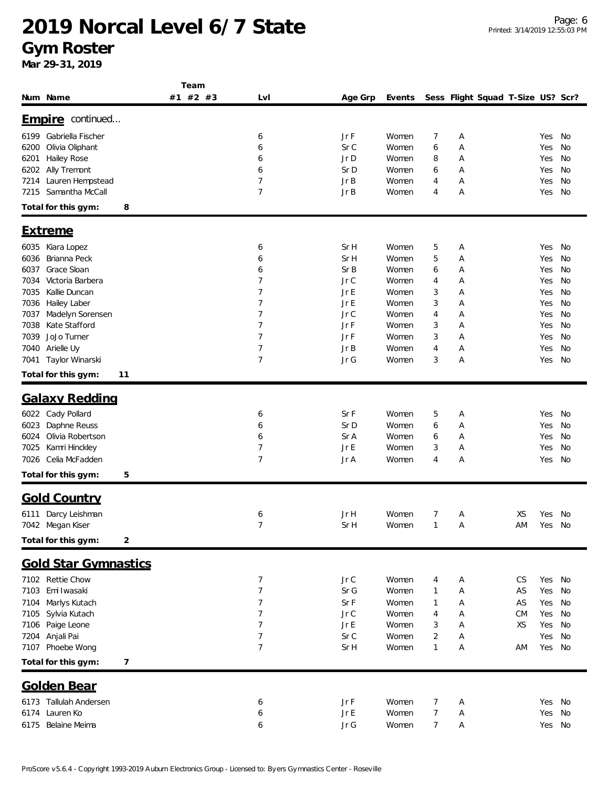#### **Gym Roster**

|                                             | Team     |                     |              |                |                |        |                                   |    |            |          |
|---------------------------------------------|----------|---------------------|--------------|----------------|----------------|--------|-----------------------------------|----|------------|----------|
| Num Name                                    | #1 #2 #3 | Lvl                 | Age Grp      | Events         |                |        | Sess Flight Squad T-Size US? Scr? |    |            |          |
| Empire continued                            |          |                     |              |                |                |        |                                   |    |            |          |
|                                             |          |                     |              |                |                |        |                                   |    |            |          |
| Gabriella Fischer<br>6199                   |          | 6                   | Jr F         | Women          | 7              | Α      |                                   |    | Yes        | No       |
| Olivia Oliphant<br>6200                     |          | 6                   | Sr C         | Women          | 6              | Α      |                                   |    | Yes        | No       |
| Hailey Rose<br>6201                         |          | 6                   | Jr D         | Women          | 8              | Α      |                                   |    | Yes        | No       |
| Ally Tremont<br>6202                        |          | 6                   | Sr D         | Women          | 6              | Α      |                                   |    | Yes        | No       |
| Lauren Hempstead<br>7214<br>Samantha McCall |          | $\overline{7}$<br>7 | Jr B<br>Jr B | Women          | 4              | Α      |                                   |    | Yes        | No       |
| 7215                                        |          |                     |              | Women          | 4              | Α      |                                   |    | Yes        | No       |
| 8<br>Total for this gym:                    |          |                     |              |                |                |        |                                   |    |            |          |
| <b>Extreme</b>                              |          |                     |              |                |                |        |                                   |    |            |          |
| 6035<br>Kiara Lopez                         |          | 6                   | Sr H         | Women          | 5              | Α      |                                   |    | Yes        | No       |
| Brianna Peck<br>6036                        |          | 6                   | Sr H         | Women          | 5              | Α      |                                   |    | Yes        | No       |
| Grace Sloan<br>6037                         |          | 6                   | Sr B         | Women          | 6              | А      |                                   |    | Yes        | No       |
| Victoria Barbera<br>7034                    |          | 7                   | Jr C         | Women          | 4              | Α      |                                   |    | Yes        | No       |
| 7035<br>Kallie Duncan                       |          | 7                   | Jr E         | Women          | 3              | А      |                                   |    | Yes        | No       |
| Hailey Laber<br>7036                        |          | 7                   | Jr E         | Women          | 3              | Α      |                                   |    | Yes        | No       |
| Madelyn Sorensen<br>7037                    |          | 7                   | Jr C         | Women          | 4              | Α      |                                   |    | Yes        | No       |
| Kate Stafford<br>7038                       |          | $\overline{7}$      | Jr F         | Women          | 3              | Α      |                                   |    | Yes        | No       |
| JoJo Turner<br>7039                         |          | 7                   | Jr F         | Women          | 3              | Α      |                                   |    | Yes        | No       |
| 7040<br>Arielle Uy                          |          | 7                   | Jr B         | Women          | 4              | Α      |                                   |    | Yes        | No       |
| Taylor Winarski<br>7041                     |          | $\overline{7}$      | Jr G         | Women          | 3              | Α      |                                   |    | Yes        | No       |
| Total for this gym:<br>11                   |          |                     |              |                |                |        |                                   |    |            |          |
| <b>Galaxy Redding</b>                       |          |                     |              |                |                |        |                                   |    |            |          |
| 6022 Cady Pollard                           |          |                     | Sr F         |                |                |        |                                   |    |            |          |
| Daphne Reuss<br>6023                        |          | 6<br>6              | Sr D         | Women<br>Women | 5<br>6         | А<br>Α |                                   |    | Yes        | No<br>No |
| Olivia Robertson<br>6024                    |          | 6                   | Sr A         | Women          | 6              | Α      |                                   |    | Yes<br>Yes | No       |
| Kamri Hinckley<br>7025                      |          | 7                   | Jr E         | Women          | 3              | Α      |                                   |    | Yes        | No       |
| Celia McFadden<br>7026                      |          | $\overline{7}$      | Jr A         | Women          | 4              | Α      |                                   |    | Yes        | No       |
|                                             |          |                     |              |                |                |        |                                   |    |            |          |
| Total for this gym:<br>5                    |          |                     |              |                |                |        |                                   |    |            |          |
| <b>Gold Country</b>                         |          |                     |              |                |                |        |                                   |    |            |          |
| 6111 Darcy Leishman                         |          | 6                   | Jr H         | Women          | $\overline{7}$ | Α      |                                   | XS | Yes No     |          |
| 7042 Megan Kiser                            |          | 7                   | Sr H         | Women          | $\mathbf{1}$   | А      |                                   | AM | Yes No     |          |
| Total for this gym:<br>2                    |          |                     |              |                |                |        |                                   |    |            |          |
| <b>Gold Star Gymnastics</b>                 |          |                     |              |                |                |        |                                   |    |            |          |
| 7102 Rettie Chow                            |          | 7                   | Jr C         | Women          | 4              | Α      |                                   | CS | Yes        | No       |
| 7103<br>Emi Iwasaki                         |          | $\overline{7}$      | Sr G         | Women          | $\mathbf{1}$   | Α      |                                   | AS | Yes        | No       |
| Marlys Kutach<br>7104                       |          | 7                   | SrF          | Women          | $\mathbf{1}$   | Α      |                                   | AS | Yes        | No       |
| Sylvia Kutach<br>7105                       |          | 7                   | $JrC$        | Women          | 4              | Α      |                                   | CM | Yes        | No       |
| Paige Leone<br>7106                         |          | 7                   | Jr E         | Women          | 3              | Α      |                                   | XS | Yes        | No       |
| Anjali Pai<br>7204                          |          | 7                   | Sr C         | Women          | 2              | Α      |                                   |    | Yes        | No       |
| 7107 Phoebe Wong                            |          | 7                   | Sr H         | Women          | $\mathbf{1}$   | Α      |                                   | ΑM | Yes        | No       |
| Total for this gym:<br>7                    |          |                     |              |                |                |        |                                   |    |            |          |
|                                             |          |                     |              |                |                |        |                                   |    |            |          |
| <b>Golden Bear</b>                          |          |                     |              |                |                |        |                                   |    |            |          |
| 6173 Tallulah Andersen                      |          | 6                   | Jr F         | Women          | 7              | A      |                                   |    | Yes No     |          |
| Lauren Ko<br>6174                           |          | 6                   | Jr E         | Women          | $\overline{7}$ | А      |                                   |    | Yes        | No       |
| Belaine Meima<br>6175                       |          | 6                   | $Jr\; G$     | Women          | 7              | Α      |                                   |    | Yes No     |          |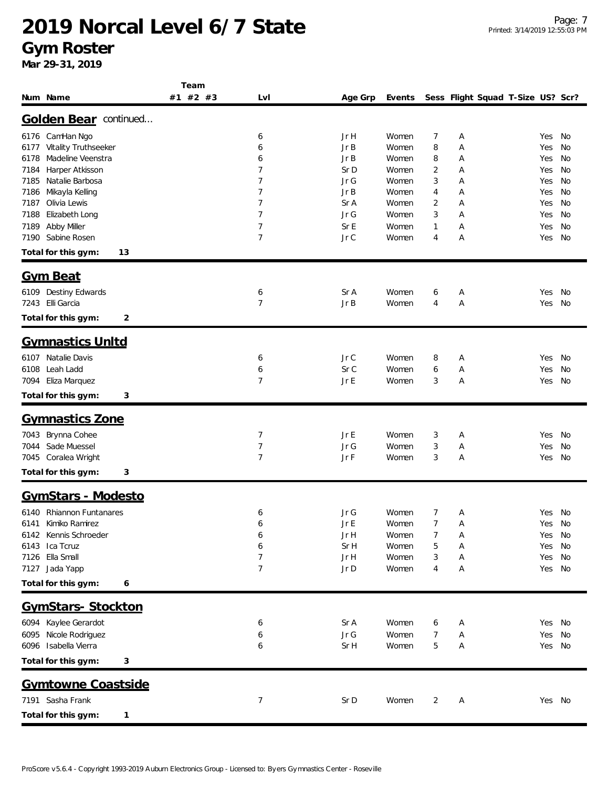#### **Gym Roster**

|                                       | Team     |                |              |        |                |                                   |        |           |
|---------------------------------------|----------|----------------|--------------|--------|----------------|-----------------------------------|--------|-----------|
| Num Name                              | #1 #2 #3 | Lvl            | Age Grp      | Events |                | Sess Flight Squad T-Size US? Scr? |        |           |
| Golden Bear continued                 |          |                |              |        |                |                                   |        |           |
| 6176 CamHan Ngo                       |          | 6              | Jr H         | Women  | 7              | Α                                 | Yes    | No        |
| 6177 Vitality Truthseeker             |          | 6              | Jr B         | Women  | 8              | А                                 | Yes    | No        |
| Madeline Veenstra<br>6178             |          | 6              | Jr B         | Women  | 8              | Α                                 | Yes    | No        |
| 7184<br>Harper Atkisson               |          | 7              | Sr D         | Women  | 2              | А                                 | Yes    | No        |
| 7185<br>Natalie Barbosa               |          | 7              | Jr G         | Women  | 3              | А                                 | Yes    | No        |
| 7186 Mikayla Kelling                  |          | $\overline{7}$ | Jr B         | Women  | 4              | А                                 | Yes    | No        |
| Olivia Lewis<br>7187                  |          | 7              | Sr A         | Women  | 2              | А                                 | Yes    | No        |
| 7188<br>Elizabeth Long                |          | $\overline{7}$ | Jr G         | Women  | 3              | А                                 | Yes    | No        |
| 7189 Abby Miller<br>7190 Sabine Rosen |          | 7<br>7         | Sr E<br>Jr C | Women  | 1              | Α                                 | Yes    | No        |
|                                       |          |                |              | Women  | 4              | Α                                 | Yes    | No        |
| Total for this gym:<br>13             |          |                |              |        |                |                                   |        |           |
| <b>Gym Beat</b>                       |          |                |              |        |                |                                   |        |           |
| 6109 Destiny Edwards                  |          | 6              | Sr A         | Women  | 6              | A                                 | Yes    | No        |
| 7243 Elli Garcia                      |          | $\overline{7}$ | Jr B         | Women  | 4              | Α                                 | Yes    | No        |
| Total for this gym:<br>2              |          |                |              |        |                |                                   |        |           |
| <b>Gymnastics Unitd</b>               |          |                |              |        |                |                                   |        |           |
| 6107 Natalie Davis                    |          | 6              | Jr C         | Women  | 8              | Α                                 | Yes    | No        |
| Leah Ladd<br>6108                     |          | 6              | Sr C         | Women  | 6              | Α                                 | Yes    | No        |
| 7094<br>Eliza Marquez                 |          | 7              | Jr E         | Women  | 3              | Α                                 | Yes    | No        |
| Total for this gym:<br>3              |          |                |              |        |                |                                   |        |           |
| <b>Gymnastics Zone</b>                |          |                |              |        |                |                                   |        |           |
| 7043 Brynna Cohee                     |          | 7              | Jr E         | Women  | 3              | A                                 | Yes    | No        |
| 7044 Sade Muessel                     |          | $\overline{7}$ | Jr G         | Women  | 3              | Α                                 | Yes    | No        |
| 7045 Coralea Wright                   |          | $\overline{7}$ | Jr F         | Women  | 3              | А                                 | Yes    | No        |
| Total for this gym:<br>3              |          |                |              |        |                |                                   |        |           |
| GymStars - Modesto                    |          |                |              |        |                |                                   |        |           |
| 6140 Rhiannon Funtanares              |          | 6              | Jr G         | Women  | 7              | Α                                 | Yes    | <b>No</b> |
| 6141 Kimiko Ramirez                   |          | 6              | JrE          | Women  | $\overline{7}$ | Α                                 | Yes No |           |
| 6142 Kennis Schroeder                 |          | 6              | Jr H         | Women  | 7              | Α                                 | Yes    | No        |
| 6143 Ica Tcruz                        |          | 6              | Sr H         | Women  | 5              | Α                                 | Yes    | No        |
| 7126 Ella Small                       |          | 7              | Jr H         | Women  | 3              | Α                                 | Yes    | No        |
| 7127 Jada Yapp                        |          | $\overline{7}$ | Jr D         | Women  | 4              | Α                                 | Yes No |           |
| Total for this gym:<br>6              |          |                |              |        |                |                                   |        |           |
| GymStars-Stockton                     |          |                |              |        |                |                                   |        |           |
| 6094 Kaylee Gerardot                  |          | 6              | Sr A         | Women  | 6              | A                                 | Yes No |           |
| 6095 Nicole Rodriguez                 |          | 6              | $Jr\; G$     | Women  | 7              | Α                                 | Yes    | No        |
| 6096 Isabella Vierra                  |          | 6              | Sr H         | Women  | 5              | Α                                 | Yes No |           |
| Total for this gym:<br>3              |          |                |              |        |                |                                   |        |           |
| Gymtowne Coastside                    |          |                |              |        |                |                                   |        |           |
| 7191 Sasha Frank                      |          | 7              | Sr D         | Women  | 2              | Α                                 | Yes No |           |
|                                       |          |                |              |        |                |                                   |        |           |
| Total for this gym:<br>1              |          |                |              |        |                |                                   |        |           |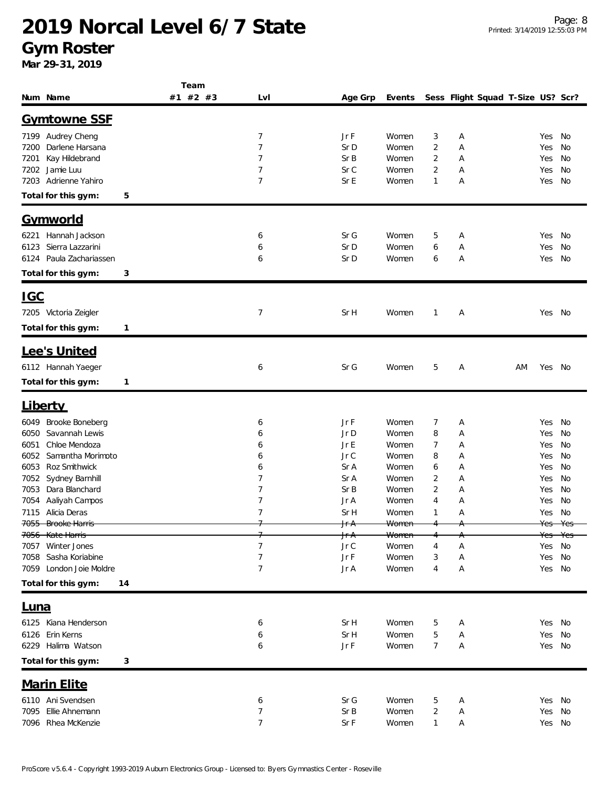**Gym Roster**

|                                                | Team     |                |                 |        |                |   |                                   |    |        |         |
|------------------------------------------------|----------|----------------|-----------------|--------|----------------|---|-----------------------------------|----|--------|---------|
| Num Name                                       | #1 #2 #3 | Lvl            | Age Grp         | Events |                |   | Sess Flight Squad T-Size US? Scr? |    |        |         |
| <b>Gymtowne SSF</b>                            |          |                |                 |        |                |   |                                   |    |        |         |
|                                                |          |                |                 |        |                |   |                                   |    |        |         |
| 7199 Audrey Cheng                              |          | 7              | Jr F            | Women  | 3              | Α |                                   |    | Yes    | No      |
| Darlene Harsana<br>7200                        |          | 7              | Sr D            | Women  | 2              | Α |                                   |    | Yes    | No      |
| Kay Hildebrand<br>7201                         |          | 7              | Sr B            | Women  | 2              | Α |                                   |    | Yes    | No      |
| 7202<br>Jamie Luu                              |          | 7              | Sr C            | Women  | 2              | Α |                                   |    | Yes    | No      |
| Adrienne Yahiro<br>7203                        |          | $\overline{7}$ | Sr E            | Women  | 1              | Α |                                   |    | Yes    | No      |
| Total for this gym:<br>5                       |          |                |                 |        |                |   |                                   |    |        |         |
| <u>Gymworld</u>                                |          |                |                 |        |                |   |                                   |    |        |         |
| Hannah Jackson<br>6221                         |          |                | Sr G            | Women  | 5              |   |                                   |    |        | No      |
|                                                |          | 6              |                 |        |                | Α |                                   |    | Yes    |         |
| Sierra Lazzarini<br>6123<br>Paula Zachariassen |          | 6              | Sr D            | Women  | 6              | Α |                                   |    | Yes    | No      |
| 6124                                           |          | 6              | Sr D            | Women  | 6              | Α |                                   |    | Yes    | No      |
| Total for this gym:<br>3                       |          |                |                 |        |                |   |                                   |    |        |         |
| <u>IGC</u>                                     |          |                |                 |        |                |   |                                   |    |        |         |
| 7205 Victoria Zeigler                          |          | 7              | Sr H            | Women  | $\mathbf{1}$   | Α |                                   |    | Yes No |         |
|                                                |          |                |                 |        |                |   |                                   |    |        |         |
| Total for this gym:<br>$\mathbf{1}$            |          |                |                 |        |                |   |                                   |    |        |         |
| Lee's United                                   |          |                |                 |        |                |   |                                   |    |        |         |
| 6112 Hannah Yaeger                             |          | 6              | Sr G            | Women  | 5              | Α |                                   | AM | Yes    | No      |
| Total for this gym:<br>$\mathbf{1}$            |          |                |                 |        |                |   |                                   |    |        |         |
|                                                |          |                |                 |        |                |   |                                   |    |        |         |
| <b>Liberty</b>                                 |          |                |                 |        |                |   |                                   |    |        |         |
| Brooke Boneberg<br>6049                        |          | 6              | Jr F            | Women  | 7              | Α |                                   |    | Yes    | No      |
| Savannah Lewis<br>6050                         |          | 6              | Jr D            | Women  | 8              | Α |                                   |    | Yes    | No      |
| Chloe Mendoza<br>6051                          |          | 6              | Jr E            | Women  | 7              | Α |                                   |    | Yes    | No      |
| 6052<br>Samantha Morimoto                      |          | 6              | $JrC$           | Women  | 8              | Α |                                   |    | Yes    | No      |
| Roz Smithwick<br>6053                          |          | 6              | Sr A            | Women  | 6              | Α |                                   |    | Yes    | No      |
| 7052<br>Sydney Barnhill                        |          | 7              | Sr A            | Women  | $\overline{2}$ | А |                                   |    | Yes    | No      |
| Dara Blanchard<br>7053                         |          | 7              | Sr B            | Women  | 2              | Α |                                   |    | Yes    | No      |
| Aaliyah Campos<br>7054                         |          | 7              | Jr A            | Women  | 4              | А |                                   |    | Yes    | No      |
| 7115 Alicia Deras                              |          | 7              | Sr H            | Women  | 1              | Α |                                   |    | Yes    | No      |
| <del>7055 Brooke Harris</del>                  |          |                | Jr A            | Women  |                |   |                                   |    | Yes    | $V_{c}$ |
| 7056 Kate Harris                               |          |                | <del>Jr A</del> | Women  |                |   |                                   |    | Yes    | Yes     |
| 7057 Winter Jones                              |          | 7              | Jr C            | Women  | 4              | Α |                                   |    | Yes    | No      |
| 7058 Sasha Koriabine                           |          | 7              | Jr F            | Women  | 3              | Α |                                   |    | Yes    | No      |
| 7059 London Joie Moldre                        |          | $\overline{7}$ | Jr A            | Women  | 4              | Α |                                   |    | Yes No |         |
| Total for this gym:<br>14                      |          |                |                 |        |                |   |                                   |    |        |         |
|                                                |          |                |                 |        |                |   |                                   |    |        |         |
| <u>Luna</u>                                    |          |                |                 |        |                |   |                                   |    |        |         |
| 6125 Kiana Henderson                           |          | 6              | Sr H            | Women  | 5              | Α |                                   |    | Yes    | No      |
| 6126 Erin Kerns                                |          | 6              | Sr H            | Women  | 5              | Α |                                   |    | Yes    | No      |
| 6229 Halima Watson                             |          | 6              | Jr F            | Women  | 7              | Α |                                   |    | Yes No |         |
| Total for this gym:<br>3                       |          |                |                 |        |                |   |                                   |    |        |         |
| <b>Marin Elite</b>                             |          |                |                 |        |                |   |                                   |    |        |         |
| 6110 Ani Svendsen                              |          | 6              | Sr G            | Women  | 5              | Α |                                   |    | Yes    | No      |
| Ellie Ahnemann<br>7095                         |          | 7              | Sr B            | Women  | $\overline{c}$ | Α |                                   |    | Yes    | No      |
| 7096 Rhea McKenzie                             |          | 7              | Sr F            | Women  | 1              | А |                                   |    | Yes No |         |
|                                                |          |                |                 |        |                |   |                                   |    |        |         |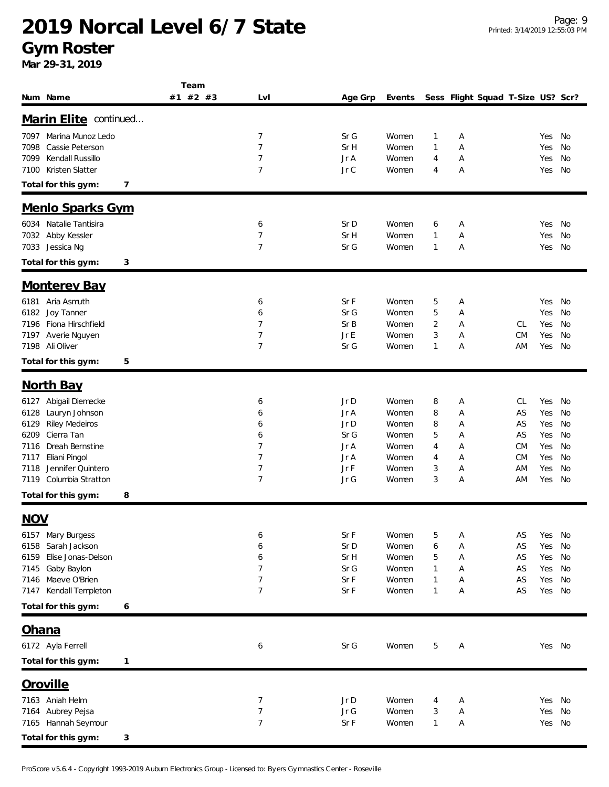**Gym Roster**

**Mar 29-31, 2019**

| Num Name                                                                                                                                                                                                                                    | Team<br>#1 #2 #3 | Lvl                                                            | Age Grp                                                      | Events                                                               |                                               |                                      | Sess Flight Squad T-Size US? Scr?                   |                                                      |                                              |
|---------------------------------------------------------------------------------------------------------------------------------------------------------------------------------------------------------------------------------------------|------------------|----------------------------------------------------------------|--------------------------------------------------------------|----------------------------------------------------------------------|-----------------------------------------------|--------------------------------------|-----------------------------------------------------|------------------------------------------------------|----------------------------------------------|
| Marin Elite continued                                                                                                                                                                                                                       |                  |                                                                |                                                              |                                                                      |                                               |                                      |                                                     |                                                      |                                              |
| Marina Munoz Ledo<br>7097<br>Cassie Peterson<br>7098<br>Kendall Russillo<br>7099<br>Kristen Slatter<br>7100<br>Total for this gym:                                                                                                          | 7                | 7<br>$\overline{7}$<br>7<br>$\overline{7}$                     | Sr G<br>Sr H<br>Jr A<br>Jr C                                 | Women<br>Women<br>Women<br>Women                                     | 1<br>1<br>4<br>4                              | Α<br>Α<br>Α<br>Α                     |                                                     | Yes<br>Yes<br>Yes<br>Yes                             | No<br>No<br>No<br>No                         |
| Menlo Sparks Gym                                                                                                                                                                                                                            |                  |                                                                |                                                              |                                                                      |                                               |                                      |                                                     |                                                      |                                              |
| Natalie Tantisira<br>6034<br>Abby Kessler<br>7032<br>Jessica Ng<br>7033<br>Total for this gym:                                                                                                                                              | 3                | 6<br>7<br>7                                                    | Sr D<br>Sr H<br>Sr G                                         | Women<br>Women<br>Women                                              | 6<br>$\mathbf{1}$<br>1                        | Α<br>Α<br>Α                          |                                                     | Yes<br>Yes<br>Yes                                    | No<br>No<br>No                               |
| <b>Monterey Bay</b>                                                                                                                                                                                                                         |                  |                                                                |                                                              |                                                                      |                                               |                                      |                                                     |                                                      |                                              |
| 6181 Aria Asmuth<br>Joy Tanner<br>6182<br>Fiona Hirschfield<br>7196<br>Averie Nguyen<br>7197<br>7198 Ali Oliver<br>Total for this gym:                                                                                                      | 5                | 6<br>6<br>7<br>7<br>7                                          | Sr F<br>Sr G<br>Sr B<br>Jr E<br>Sr G                         | Women<br>Women<br>Women<br>Women<br>Women                            | 5<br>5<br>$\overline{2}$<br>3<br>$\mathbf{1}$ | Α<br>Α<br>Α<br>Α<br>Α                | CL<br><b>CM</b><br>ΑM                               | Yes<br>Yes<br>Yes<br>Yes<br>Yes                      | No<br>No<br>No<br>No<br>No                   |
| <b>North Bay</b><br>Abigail Diemecke<br>6127<br>Lauryn Johnson<br>6128<br><b>Riley Medeiros</b><br>6129<br>Cierra Tan<br>6209<br>Dreah Bernstine<br>7116<br>Eliani Pingol<br>7117<br>Jennifer Quintero<br>7118<br>Columbia Stratton<br>7119 |                  | 6<br>6<br>6<br>6<br>7<br>7<br>$\overline{7}$<br>$\overline{7}$ | Jr D<br>Jr A<br>Jr D<br>Sr G<br>Jr A<br>Jr A<br>Jr F<br>Jr G | Women<br>Women<br>Women<br>Women<br>Women<br>Women<br>Women<br>Women | 8<br>8<br>8<br>5<br>4<br>4<br>3<br>3          | Α<br>Α<br>Α<br>Α<br>Α<br>Α<br>Α<br>Α | CL<br>AS<br>AS<br>AS<br>СM<br><b>CM</b><br>ΑM<br>ΑM | Yes<br>Yes<br>Yes<br>Yes<br>Yes<br>Yes<br>Yes<br>Yes | No<br>No<br>No<br>No<br>No<br>No<br>No<br>No |
| Total for this gym:                                                                                                                                                                                                                         | 8                |                                                                |                                                              |                                                                      |                                               |                                      |                                                     |                                                      |                                              |
| <b>NOV</b><br>6157 Mary Burgess<br>Sarah Jackson<br>6158<br>Elise Jonas-Delson<br>6159<br>7145<br>Gaby Baylon<br>Maeve O'Brien<br>7146<br>Kendall Templeton<br>7147                                                                         |                  | 6<br>6<br>6<br>$\overline{7}$<br>7<br>$\overline{7}$           | Sr F<br>Sr D<br>Sr H<br>Sr G<br>Sr F<br>Sr F                 | Women<br>Women<br>Women<br>Women<br>Women<br>Women                   | 5<br>6<br>5<br>1<br>1<br>$\mathbf{1}$         | Α<br>Α<br>Α<br>Α<br>Α<br>Α           | AS<br>AS<br>AS<br>AS<br>AS<br>AS                    | Yes<br>Yes<br>Yes<br>Yes<br>Yes<br>Yes               | No<br>No<br>No<br>No<br>No<br>No             |
| Total for this gym:                                                                                                                                                                                                                         | 6                |                                                                |                                                              |                                                                      |                                               |                                      |                                                     |                                                      |                                              |
| <u>Ohana</u><br>6172 Ayla Ferrell<br>Total for this gym:                                                                                                                                                                                    | 1                | 6                                                              | Sr G                                                         | Women                                                                | 5                                             | Α                                    |                                                     | Yes No                                               |                                              |
| Oroville<br>7163 Aniah Helm<br>7164 Aubrey Pejsa<br>7165 Hannah Seymour<br>Total for this gym:                                                                                                                                              | 3                | 7<br>$\boldsymbol{7}$<br>$\overline{\mathcal{I}}$              | Jr D<br>$Jr\; G$<br>Sr F                                     | Women<br>Women<br>Women                                              | 4<br>3<br>$\mathbf{1}$                        | Α<br>А<br>А                          |                                                     | Yes<br>Yes<br>Yes No                                 | No<br>No                                     |

ProScore v5.6.4 - Copyright 1993-2019 Auburn Electronics Group - Licensed to: Byers Gymnastics Center - Roseville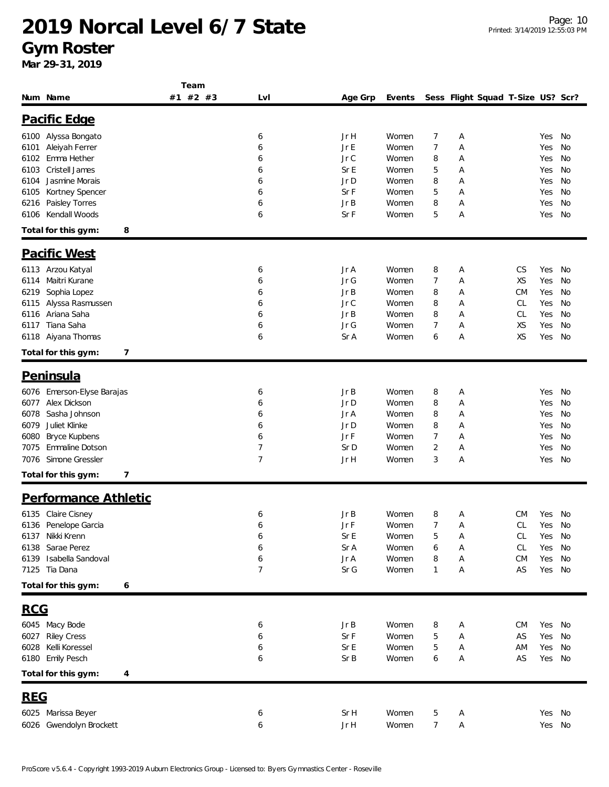**Gym Roster**

|                              | Team     |     |         |        |                |   |                                   |           |        |    |
|------------------------------|----------|-----|---------|--------|----------------|---|-----------------------------------|-----------|--------|----|
| Num Name                     | #1 #2 #3 | Lvl | Age Grp | Events |                |   | Sess Flight Squad T-Size US? Scr? |           |        |    |
| Pacific Edge                 |          |     |         |        |                |   |                                   |           |        |    |
|                              |          |     |         |        |                |   |                                   |           |        |    |
| 6100 Alyssa Bongato          |          | 6   | Jr H    | Women  | 7              | Α |                                   |           | Yes    | No |
| Aleiyah Ferrer<br>6101       |          | 6   | Jr E    | Women  | 7              | А |                                   |           | Yes    | No |
| Emma Hether<br>6102          |          | 6   | Jr C    | Women  | 8              | Α |                                   |           | Yes    | No |
| Cristell James<br>6103       |          | 6   | Sr E    | Women  | 5              | Α |                                   |           | Yes    | No |
| Jasmine Morais<br>6104       |          | 6   | Jr D    | Women  | 8              | Α |                                   |           | Yes    | No |
| Kortney Spencer<br>6105      |          | 6   | Sr F    | Women  | 5              | Α |                                   |           | Yes    | No |
| Paisley Torres<br>6216       |          | 6   | Jr B    | Women  | 8              | А |                                   |           | Yes    | No |
| Kendall Woods<br>6106        |          | 6   | Sr F    | Women  | 5              | Α |                                   |           | Yes    | No |
| 8<br>Total for this gym:     |          |     |         |        |                |   |                                   |           |        |    |
| <b>Pacific West</b>          |          |     |         |        |                |   |                                   |           |        |    |
| 6113 Arzou Katyal            |          | 6   | Jr A    | Women  | 8              | А |                                   | CS        | Yes    | No |
| Maitri Kurane<br>6114        |          | 6   | Jr G    | Women  | 7              | Α |                                   | XS        | Yes    | No |
| Sophia Lopez<br>6219         |          | 6   | Jr B    | Women  | 8              | А |                                   | <b>CM</b> | Yes    | No |
| Alyssa Rasmussen<br>6115     |          | 6   | Jr C    | Women  | 8              | Α |                                   | CL        | Yes    | No |
| Ariana Saha<br>6116          |          | 6   | Jr B    | Women  | 8              | Α |                                   | CL        | Yes    | No |
| Tiana Saha<br>6117           |          | 6   | Jr G    | Women  | 7              | Α |                                   | XS        | Yes    | No |
| 6118 Aiyana Thomas           |          | 6   | Sr A    | Women  | 6              | А |                                   | XS        | Yes    | No |
|                              |          |     |         |        |                |   |                                   |           |        |    |
| Total for this gym:<br>7     |          |     |         |        |                |   |                                   |           |        |    |
| Peninsula                    |          |     |         |        |                |   |                                   |           |        |    |
| 6076 Emerson-Elyse Barajas   |          | 6   | Jr B    | Women  | 8              | Α |                                   |           | Yes    | No |
| Alex Dickson<br>6077         |          | 6   | Jr D    | Women  | 8              | Α |                                   |           | Yes    | No |
| Sasha Johnson<br>6078        |          | 6   | Jr A    | Women  | 8              | Α |                                   |           | Yes    | No |
| Juliet Klinke<br>6079        |          | 6   | Jr D    | Women  | 8              | Α |                                   |           | Yes    | No |
| 6080<br><b>Bryce Kupbens</b> |          | 6   | Jr F    | Women  | 7              | А |                                   |           | Yes    | No |
| Emmaline Dotson<br>7075      |          | 7   | Sr D    | Women  | 2              | Α |                                   |           | Yes    | No |
| Simone Gressler<br>7076      |          | 7   | Jr H    | Women  | 3              | А |                                   |           | Yes    | No |
|                              |          |     |         |        |                |   |                                   |           |        |    |
| 7<br>Total for this gym:     |          |     |         |        |                |   |                                   |           |        |    |
| Performance Athletic         |          |     |         |        |                |   |                                   |           |        |    |
| 6135 Claire Cisney           |          | 6   | Jr B    | Women  | 8              | Α |                                   | CM        | Yes No |    |
| 6136 Penelope Garcia         |          | 6   | JrF     | Women  | $\overline{7}$ | Α |                                   | CL        | Yes No |    |
| 6137 Nikki Krenn             |          | 6   | Sr E    | Women  | 5              | А |                                   | CL        | Yes    | No |
| 6138 Sarae Perez             |          | 6   | Sr A    | Women  | 6              | Α |                                   | CL        | Yes    | No |
| 6139 Isabella Sandoval       |          | 6   | Jr A    | Women  | 8              | Α |                                   | <b>CM</b> | Yes    | No |
| 7125 Tia Dana                |          | 7   | Sr G    | Women  | 1              | Α |                                   | AS        | Yes    | No |
| Total for this gym:<br>6     |          |     |         |        |                |   |                                   |           |        |    |
| <u>RCG</u>                   |          |     |         |        |                |   |                                   |           |        |    |
|                              |          |     |         |        |                |   |                                   |           |        |    |
| 6045 Macy Bode               |          | 6   | JrB     | Women  | 8              | Α |                                   | СM        | Yes    | No |
| 6027 Riley Cress             |          | 6   | Sr F    | Women  | 5              | А |                                   | AS        | Yes    | No |
| 6028 Kelli Koressel          |          | 6   | Sr E    | Women  | 5              | А |                                   | ΑM        | Yes    | No |
| 6180 Emily Pesch             |          | 6   | Sr B    | Women  | 6              | Α |                                   | AS        | Yes    | No |
| Total for this gym:<br>4     |          |     |         |        |                |   |                                   |           |        |    |
| <b>REG</b>                   |          |     |         |        |                |   |                                   |           |        |    |
| 6025 Marissa Beyer           |          | 6   | Sr H    | Women  | 5              | Α |                                   |           | Yes    | No |
|                              |          |     |         |        |                |   |                                   |           |        |    |
| 6026 Gwendolyn Brockett      |          | 6   | Jr H    | Women  | 7              | Α |                                   |           | Yes No |    |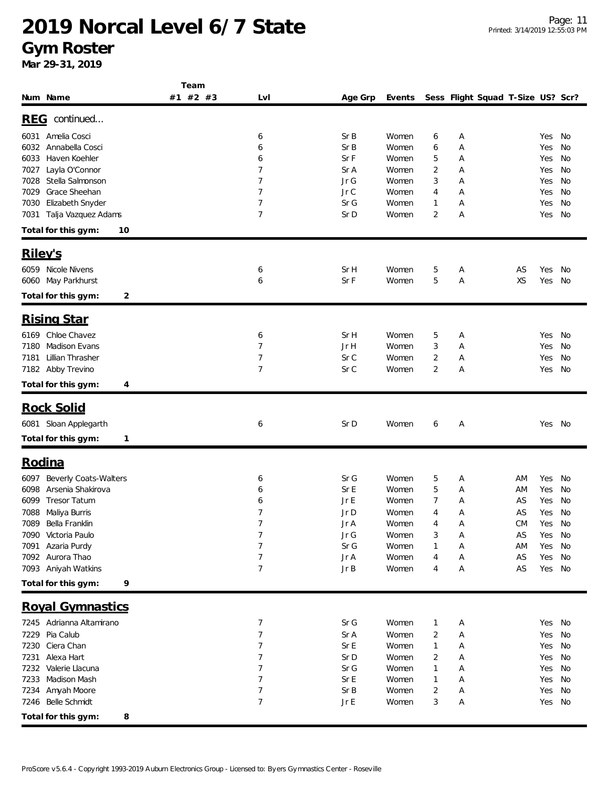**Gym Roster**

|                                                          | Team     |                     |              |                |              |                                   |          |               |          |
|----------------------------------------------------------|----------|---------------------|--------------|----------------|--------------|-----------------------------------|----------|---------------|----------|
| Num Name                                                 | #1 #2 #3 | LvI                 | Age Grp      | Events         |              | Sess Flight Squad T-Size US? Scr? |          |               |          |
|                                                          |          |                     |              |                |              |                                   |          |               |          |
| REG continued                                            |          |                     |              |                |              |                                   |          |               |          |
| Amelia Cosci<br>6031                                     |          | 6                   | SrB          | Women          | 6            | Α                                 |          | Yes           | No       |
| Annabella Cosci<br>6032                                  |          | 6                   | Sr B         | Women          | 6            | Α                                 |          | Yes           | No       |
| Haven Koehler<br>6033                                    |          | 6                   | SrF          | Women          | 5            | Α                                 |          | Yes           | No       |
| Layla O'Connor<br>7027                                   |          | 7                   | Sr A         | Women          | 2            | Α                                 |          | Yes           | No       |
| Stella Salmonson<br>7028                                 |          | $\overline{7}$      | Jr G         | Women          | 3            | Α                                 |          | Yes           | No       |
| Grace Sheehan<br>7029                                    |          | 7                   | Jr C         | Women          | 4            | Α                                 |          | Yes           | No       |
| Elizabeth Snyder<br>7030                                 |          | $\overline{7}$      | Sr G         | Women          | $\mathbf{1}$ | Α                                 |          | Yes           | No       |
| Talja Vazquez Adams<br>7031                              |          | 7                   | Sr D         | Women          | 2            | А                                 |          | Yes           | No       |
| Total for this gym:<br>10                                |          |                     |              |                |              |                                   |          |               |          |
| Riley's                                                  |          |                     |              |                |              |                                   |          |               |          |
| 6059 Nicole Nivens                                       |          |                     | Sr H         | Women          |              |                                   |          |               |          |
| 6060 May Parkhurst                                       |          | 6<br>6              | Sr F         | Women          | 5<br>5       | Α<br>А                            | AS<br>XS | Yes<br>Yes    | No<br>No |
|                                                          |          |                     |              |                |              |                                   |          |               |          |
| Total for this gym:<br>2                                 |          |                     |              |                |              |                                   |          |               |          |
| <b>Rising Star</b>                                       |          |                     |              |                |              |                                   |          |               |          |
| 6169 Chloe Chavez                                        |          | 6                   | Sr H         | Women          | 5            | Α                                 |          | Yes           | No       |
| Madison Evans<br>7180                                    |          | $\overline{7}$      | Jr H         | Women          | 3            | Α                                 |          | Yes           | No       |
| Lillian Thrasher<br>7181                                 |          | 7                   | Sr C         | Women          | 2            | Α                                 |          | Yes           | No       |
| 7182 Abby Trevino                                        |          | $\overline{7}$      | Sr C         | Women          | 2            | Α                                 |          | Yes           | No       |
| Total for this gym:<br>4                                 |          |                     |              |                |              |                                   |          |               |          |
|                                                          |          |                     |              |                |              |                                   |          |               |          |
| <b>Rock Solid</b>                                        |          |                     |              |                |              |                                   |          |               |          |
| 6081 Sloan Applegarth                                    |          | 6                   | Sr D         | Women          | 6            | Α                                 |          | Yes No        |          |
| Total for this gym:<br>1                                 |          |                     |              |                |              |                                   |          |               |          |
| Rodina                                                   |          |                     |              |                |              |                                   |          |               |          |
|                                                          |          |                     |              |                |              |                                   |          |               |          |
| <b>Beverly Coats-Walters</b><br>6097                     |          | 6                   | Sr G         | Women          | 5            | Α                                 | ΑM       | Yes           | No       |
| Arsenia Shakirova<br>6098<br>6099<br><b>Tresor Tatum</b> |          | 6                   | Sr E<br>Jr E | Women          | 5            | Α                                 | ΑM<br>AS | Yes           | No       |
|                                                          |          | 6<br>$\overline{7}$ | Jr D         | Women          | 7            | Α                                 |          | Yes           | No       |
| 7088<br>Maliya Burris<br>7089 Bella Franklin             |          | 7                   |              | Women          | 4<br>4       | Α<br>Α                            | AS       | Yes           | No       |
| 7090 Victoria Paulo                                      |          | 7                   | Jr A<br>Jr G | Women<br>Women | 3            | Α                                 | СM<br>AS | Yes No<br>Yes | No       |
| 7091 Azaria Purdy                                        |          | 7                   | Sr G         | Women          | 1            | Α                                 | ΑM       | Yes           | No       |
| 7092 Aurora Thao                                         |          | 7                   | Jr A         | Women          | 4            | Α                                 | AS       | Yes           | No       |
| 7093 Aniyah Watkins                                      |          | $\overline{7}$      | JrB          | Women          | 4            | Α                                 | AS       | Yes No        |          |
|                                                          |          |                     |              |                |              |                                   |          |               |          |
| Total for this gym:<br>9                                 |          |                     |              |                |              |                                   |          |               |          |
| <b>Royal Gymnastics</b>                                  |          |                     |              |                |              |                                   |          |               |          |
| 7245 Adrianna Altamirano                                 |          | 7                   | Sr G         | Women          | $\mathbf{1}$ | Α                                 |          | Yes No        |          |
| 7229 Pia Calub                                           |          | $\overline{7}$      | Sr A         | Women          | 2            | Α                                 |          | Yes           | No       |
| 7230 Ciera Chan                                          |          | 7                   | Sr E         | Women          | $\mathbf{1}$ | Α                                 |          | Yes           | No       |
| 7231 Alexa Hart                                          |          | 7                   | Sr D         | Women          | 2            | Α                                 |          | Yes           | No       |
| Valerie Llacuna<br>7232                                  |          | $\overline{7}$      | Sr G         | Women          | 1            | Α                                 |          | Yes           | No       |
| Madison Mash<br>7233                                     |          | 7                   | Sr E         | Women          | 1            | Α                                 |          | Yes           | No       |
| Amyah Moore<br>7234                                      |          | 7                   | Sr B         | Women          | 2            | Α                                 |          | Yes           | No       |
| 7246 Belle Schmidt                                       |          | 7                   | JrE          | Women          | 3            | Α                                 |          | Yes No        |          |
| Total for this gym:<br>8                                 |          |                     |              |                |              |                                   |          |               |          |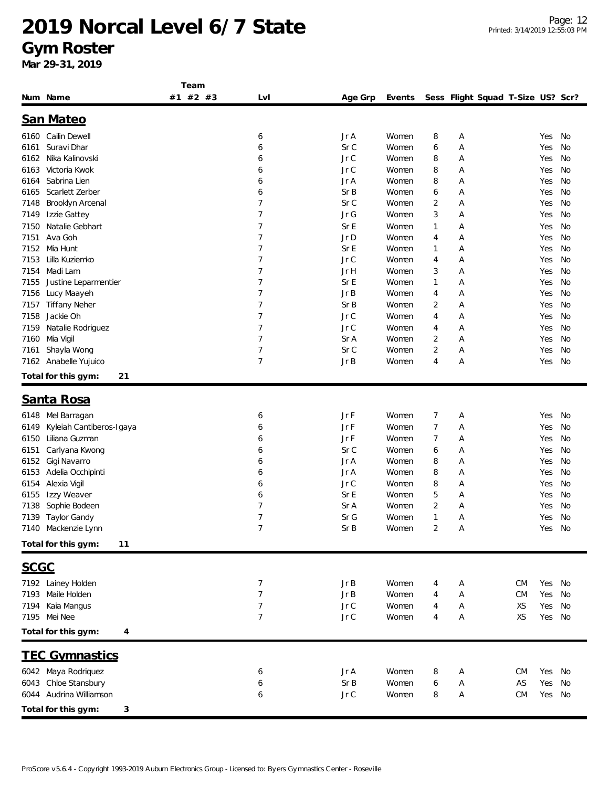#### **Gym Roster**

|             |                           | Team     |                |            |        |   |                                   |           |        |    |
|-------------|---------------------------|----------|----------------|------------|--------|---|-----------------------------------|-----------|--------|----|
|             | Num Name                  | #1 #2 #3 | Lvl            | Age Grp    | Events |   | Sess Flight Squad T-Size US? Scr? |           |        |    |
|             |                           |          |                |            |        |   |                                   |           |        |    |
|             | <b>San Mateo</b>          |          |                |            |        |   |                                   |           |        |    |
|             | 6160 Cailin Dewell        |          | 6              | Jr A       | Women  | 8 | Α                                 |           | Yes    | No |
| 6161        | Suravi Dhar               |          | 6              | Sr C       | Women  | 6 | Α                                 |           | Yes    | No |
| 6162        | Nika Kalinovski           |          | 6              | Jr C       | Women  | 8 | Α                                 |           | Yes    | No |
| 6163        | Victoria Kwok             |          | 6              | Jr C       | Women  | 8 | Α                                 |           | Yes    | No |
| 6164        | Sabrina Lien              |          | 6              | Jr A       | Women  | 8 | Α                                 |           | Yes    | No |
| 6165        | Scarlett Zerber           |          | 6              | Sr B       | Women  | 6 | Α                                 |           | Yes    | No |
| 7148        | Brooklyn Arcenal          |          | 7              | Sr C       | Women  | 2 | Α                                 |           | Yes    | No |
| 7149        | Izzie Gattey              |          | 7              | Jr G       | Women  | 3 | Α                                 |           | Yes    | No |
| 7150        | Natalie Gebhart           |          | 7              | Sr E       | Women  | 1 | Α                                 |           | Yes    | No |
| 7151        | Ava Goh                   |          | 7              | Jr D       | Women  | 4 | Α                                 |           | Yes    | No |
| 7152        | Mia Hunt                  |          | 7              | Sr E       | Women  | 1 | Α                                 |           | Yes    | No |
| 7153        | Lilla Kuziemko            |          | 7              | Jr C       | Women  | 4 | Α                                 |           | Yes    | No |
| 7154        | Madi Lam                  |          | 7              | Jr H       | Women  | 3 | Α                                 |           | Yes    | No |
| 7155        | Justine Leparmentier      |          | 7              | Sr E       | Women  | 1 | Α                                 |           | Yes    | No |
| 7156        | Lucy Maayeh               |          | 7              | Jr B       | Women  | 4 | Α                                 |           | Yes    | No |
| 7157        | <b>Tiffany Neher</b>      |          | 7              | SrB        | Women  | 2 | Α                                 |           | Yes    | No |
| 7158        | Jackie Oh                 |          | 7              | Jr C       | Women  | 4 | Α                                 |           | Yes    | No |
| 7159        | Natalie Rodriguez         |          | 7              | Jr C       | Women  | 4 | Α                                 |           | Yes    | No |
| 7160        | Mia Vigil                 |          | 7              | Sr A       | Women  | 2 | Α                                 |           | Yes    | No |
| 7161        | Shayla Wong               |          | 7              | Sr C       | Women  | 2 | Α                                 |           | Yes    | No |
| 7162        | Anabelle Yujuico          |          | $\overline{7}$ | Jr B       | Women  | 4 | Α                                 |           | Yes    | No |
|             |                           |          |                |            |        |   |                                   |           |        |    |
|             | Total for this gym:<br>21 |          |                |            |        |   |                                   |           |        |    |
|             |                           |          |                |            |        |   |                                   |           |        |    |
|             | Santa Rosa                |          |                |            |        |   |                                   |           |        |    |
| 6148        | Mel Barragan              |          | 6              | Jr F       | Women  | 7 | Α                                 |           | Yes    | No |
| 6149        | Kyleiah Cantiberos-Igaya  |          | 6              | Jr F       | Women  | 7 | Α                                 |           | Yes    | No |
| 6150        | Liliana Guzman            |          | 6              | Jr F       | Women  | 7 | Α                                 |           | Yes    | No |
| 6151        | Carlyana Kwong            |          | 6              | Sr C       | Women  | 6 | Α                                 |           | Yes    | No |
| 6152        | Gigi Navarro              |          | 6              | Jr A       | Women  | 8 | Α                                 |           | Yes    | No |
| 6153        | Adelia Occhipinti         |          | 6              | Jr A       | Women  | 8 | Α                                 |           | Yes    | No |
| 6154        | Alexia Vigil              |          | 6              | Jr C       | Women  | 8 | Α                                 |           | Yes    | No |
| 6155        | Izzy Weaver               |          | 6              | Sr E       | Women  | 5 | Α                                 |           | Yes    | No |
| 7138        | Sophie Bodeen             |          | 7              | $\rm Sr~A$ | Women  | 2 | Α                                 |           | Yes    | No |
|             | 7139 Taylor Gandy         |          | $\overline{7}$ | Sr G       | Women  | 1 | Α                                 |           | Yes    | No |
|             | 7140 Mackenzie Lynn       |          | 7              | Sr B       | Women  | 2 | $\mathsf{A}$                      |           | Yes No |    |
|             |                           |          |                |            |        |   |                                   |           |        |    |
|             | Total for this gym:<br>11 |          |                |            |        |   |                                   |           |        |    |
| <b>SCGC</b> |                           |          |                |            |        |   |                                   |           |        |    |
|             | 7192 Lainey Holden        |          | 7              | Jr B       | Women  | 4 | Α                                 | <b>CM</b> | Yes No |    |
|             | 7193 Maile Holden         |          | 7              | Jr B       | Women  | 4 | Α                                 | <b>CM</b> | Yes    | No |
| 7194        | Kaia Mangus               |          | 7              | Jr C       | Women  | 4 | Α                                 | XS        | Yes    | No |
|             | 7195 Mei Nee              |          | $\overline{7}$ | Jr C       | Women  | 4 | Α                                 | XS        | Yes No |    |
|             |                           |          |                |            |        |   |                                   |           |        |    |
|             | Total for this gym:<br>4  |          |                |            |        |   |                                   |           |        |    |
|             | <b>TEC Gymnastics</b>     |          |                |            |        |   |                                   |           |        |    |
|             | 6042 Maya Rodriquez       |          | 6              | Jr A       | Women  | 8 | Α                                 | <b>CM</b> | Yes No |    |
|             | 6043 Chloe Stansbury      |          | 6              | Sr B       | Women  | 6 | Α                                 | AS        | Yes    | No |
|             | 6044 Audrina Williamson   |          | 6              | $JrC$      | Women  | 8 | Α                                 | <b>CM</b> | Yes No |    |
|             |                           |          |                |            |        |   |                                   |           |        |    |
|             | Total for this gym:<br>3  |          |                |            |        |   |                                   |           |        |    |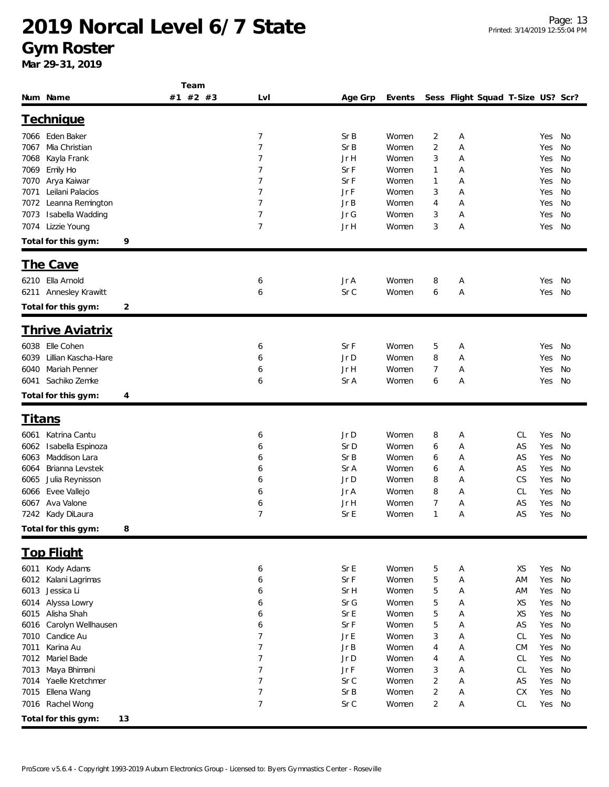#### **Gym Roster**

|                             |    | Team     |                |  |         |        |                |                                   |    |     |    |  |
|-----------------------------|----|----------|----------------|--|---------|--------|----------------|-----------------------------------|----|-----|----|--|
| Num Name                    |    | #1 #2 #3 | Lvl            |  | Age Grp | Events |                | Sess Flight Squad T-Size US? Scr? |    |     |    |  |
| <b>Technique</b>            |    |          |                |  |         |        |                |                                   |    |     |    |  |
|                             |    |          |                |  |         |        |                |                                   |    |     |    |  |
| 7066 Eden Baker             |    |          | 7              |  | SrB     | Women  | 2              | Α                                 |    | Yes | No |  |
| Mia Christian<br>7067       |    |          | 7              |  | SrB     | Women  | $\overline{2}$ | Α                                 |    | Yes | No |  |
| Kayla Frank<br>7068         |    |          | 7              |  | Jr H    | Women  | 3              | Α                                 |    | Yes | No |  |
| Emily Ho<br>7069            |    |          | 7              |  | Sr F    | Women  | $\mathbf{1}$   | Α                                 |    | Yes | No |  |
| Arya Kaiwar<br>7070         |    |          | 7              |  | Sr F    | Women  | $\mathbf 1$    | Α                                 |    | Yes | No |  |
| Leilani Palacios<br>7071    |    |          | 7              |  | Jr F    | Women  | 3              | Α                                 |    | Yes | No |  |
| Leanna Remington<br>7072    |    |          | 7              |  | Jr B    | Women  | 4              | Α                                 |    | Yes | No |  |
| Isabella Wadding<br>7073    |    |          | 7              |  | Jr G    | Women  | 3              | Α                                 |    | Yes | No |  |
| Lizzie Young<br>7074        |    |          | 7              |  | Jr H    | Women  | 3              | Α                                 |    | Yes | No |  |
| Total for this gym:         | 9  |          |                |  |         |        |                |                                   |    |     |    |  |
| The Cave                    |    |          |                |  |         |        |                |                                   |    |     |    |  |
|                             |    |          |                |  |         |        |                |                                   |    |     |    |  |
| 6210 Ella Arnold            |    |          | 6              |  | Jr A    | Women  | 8              | Α                                 |    | Yes | No |  |
| 6211 Annesley Krawitt       |    |          | 6              |  | Sr C    | Women  | 6              | Α                                 |    | Yes | No |  |
| Total for this gym:         | 2  |          |                |  |         |        |                |                                   |    |     |    |  |
| <u>Thrive Aviatrix</u>      |    |          |                |  |         |        |                |                                   |    |     |    |  |
| Elle Cohen<br>6038          |    |          | 6              |  | Sr F    | Women  | 5              | Α                                 |    | Yes | No |  |
| Lillian Kascha-Hare<br>6039 |    |          | 6              |  | Jr D    | Women  | 8              | Α                                 |    | Yes | No |  |
| Mariah Penner<br>6040       |    |          | 6              |  | Jr H    | Women  | 7              | Α                                 |    | Yes | No |  |
| Sachiko Zemke<br>6041       |    |          | 6              |  | Sr A    | Women  | 6              | Α                                 |    | Yes | No |  |
|                             |    |          |                |  |         |        |                |                                   |    |     |    |  |
| Total for this gym:         | 4  |          |                |  |         |        |                |                                   |    |     |    |  |
| <u>Titans</u>               |    |          |                |  |         |        |                |                                   |    |     |    |  |
| Katrina Cantu<br>6061       |    |          | 6              |  | Jr D    | Women  | 8              | Α                                 | CL | Yes | No |  |
| Isabella Espinoza<br>6062   |    |          | 6              |  | Sr D    | Women  | 6              | Α                                 | AS | Yes | No |  |
| Maddison Lara<br>6063       |    |          | 6              |  | Sr B    | Women  | 6              | Α                                 | AS | Yes | No |  |
| Brianna Levstek<br>6064     |    |          | 6              |  | Sr A    | Women  | 6              | Α                                 | AS | Yes | No |  |
| Julia Reynisson<br>6065     |    |          | 6              |  | Jr D    | Women  | 8              | Α                                 | CS | Yes | No |  |
| Evee Vallejo<br>6066        |    |          | 6              |  | Jr A    | Women  | 8              | Α                                 | CL | Yes | No |  |
| Ava Valone<br>6067          |    |          | 6              |  | Jr H    | Women  | 7              | Α                                 | AS | Yes | No |  |
| 7242 Kady DiLaura           |    |          | $\overline{7}$ |  | Sr E    | Women  | $\mathbf{1}$   | Α                                 | AS | Yes | No |  |
| Total for this gym:         | 8  |          |                |  |         |        |                |                                   |    |     |    |  |
|                             |    |          |                |  |         |        |                |                                   |    |     |    |  |
| <b>Top Flight</b>           |    |          |                |  |         |        |                |                                   |    |     |    |  |
| 6011 Kody Adams             |    |          | 6              |  | Sr E    | Women  | 5              | Α                                 | XS | Yes | No |  |
| Kalani Lagrimas<br>6012     |    |          | 6              |  | Sr F    | Women  | 5              | Α                                 | AM | Yes | No |  |
| Jessica Li<br>6013          |    |          | 6              |  | Sr H    | Women  | 5              | Α                                 | AM | Yes | No |  |
| Alyssa Lowry<br>6014        |    |          | 6              |  | Sr G    | Women  | 5              | Α                                 | XS | Yes | No |  |
| Alisha Shah<br>6015         |    |          | 6              |  | Sr E    | Women  | 5              | Α                                 | XS | Yes | No |  |
| Carolyn Wellhausen<br>6016  |    |          | 6              |  | Sr F    | Women  | 5              | Α                                 | AS | Yes | No |  |
| Candice Au<br>7010          |    |          | 7              |  | Jr E    | Women  | 3              | Α                                 | CL | Yes | No |  |
| Karina Au<br>7011           |    |          | 7              |  | Jr B    | Women  | 4              | Α                                 | CM | Yes | No |  |
| Mariel Bade<br>7012         |    |          | 7              |  | Jr D    | Women  | 4              | Α                                 | CL | Yes | No |  |
| Maya Bhimani<br>7013        |    |          | 7              |  | Jr F    | Women  | 3              | Α                                 | CL | Yes | No |  |
| Yaelle Kretchmer<br>7014    |    |          | 7              |  | Sr C    | Women  | $\overline{2}$ | Α                                 | AS | Yes | No |  |
| 7015<br>Ellena Wang         |    |          | 7              |  | Sr B    | Women  | $\overline{2}$ | Α                                 | СX | Yes | No |  |
| Rachel Wong<br>7016         |    |          | 7              |  | Sr C    | Women  | 2              | Α                                 | CL | Yes | No |  |
| Total for this gym:         | 13 |          |                |  |         |        |                |                                   |    |     |    |  |